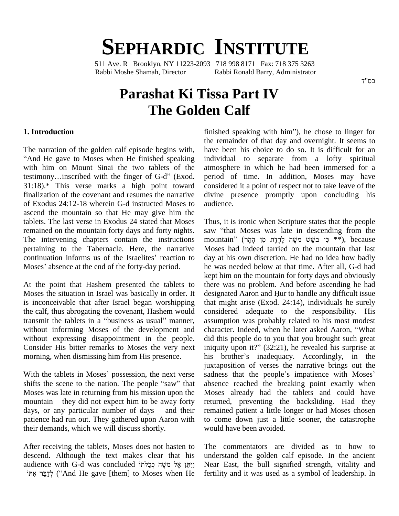# **SEPHARDIC INSTITUTE**

511 Ave. R Brooklyn, NY 11223-2093 718 998 8171 Fax: 718 375 3263 Rabbi Moshe Shamah, Director Rabbi Ronald Barry, Administrator

## **Parashat Ki Tissa Part IV The Golden Calf**

The narration of the golden calf episode begins with, "And He gave to Moses when He finished speaking individually with him on Mount Sinai the two tablets of the atmoss testimony...inscribed with the finger of G-d" (Exod. with him on Mount Sinai the two tablets of the 31:18).\* This verse marks a high point toward finalization of the covenant and resumes the narrative of Exodus 24:12-18 wherein G-d instructed Moses to ascend the mountain so that He may give him the tablets. The last verse in Exodus 24 stated that Moses remained on the mountain forty days and forty nights. The intervening chapters contain the instructions mount<br>pertaining to the Tabernacle. Here, the narrative Moses<br>continuation informs us of the Israelites' reaction to day at pertaining to the Tabernacle. Here, the narrative continuation informs us of the Israelites' reaction to Moses' absence at the end of the forty-day period.

At the point that Hashem presented the tablets to Moses the situation in Israel was basically in order. It designated Aaron and Hur to handle any difficult issue is inconceivable that after Israel began worshipping the calf, thus abrogating the covenant, Hashem would transmit the tablets in a "business as usual" manner, without informing Moses of the development and character. Indeed, when he later asked Aaron, "What without expressing disappointment in the people. Consider His bitter remarks to Moses the very next morning, when dismissing him from His presence.

ju<br>With the tablets in Moses' possession, the next verse sashifts the scene to the nation. The people "saw" that ab Moses was late in returning from his mission upon the Mose<br>mountain – they did not expect him to be away forty return<br>days, or any particular number of days – and their rema shifts the scene to the nation. The people "saw" that absend<br>Moses was late in returning from his mission upon the Moses<br>mountain – they did not expect him to be away forty return patience had run out.They gathered upon Aaron with their demands, which we will discuss shortly.

After receiving the tablets, Moses does not hasten to descend. Although the text makes clear that his after receiving the tablets, Moses does not hasten to Th<br>descend. Although the text makes clear that his ur<br>gaudience with G-d was concluded יֵיְחֵן אֶל מֹשֶׁה כְּכַלֹּתוֹ lesc audience with G-d was concluded וַיְתֵּן אֶל מַשֶׁה כְּכַלֹּתוֹ<br>קיבר אתוֹ (And He gave [them] to Moses when He

finished speaking with him<sup>"</sup>), he chose to linger for the remainder of that day and overnight. It seems to have been his choice to do so. It is difficult for an individual to separate from a lofty spiritual atmosphere in which he had been immersed for a period of time. In addition, Moses may have considered it a point of respect not to take leave of the divine presence promptly upon concluding his audience.

morning, when dismissing him from His presence. his brother's inadequacy. Accordingly, in the juxtaposition of verses the narrative brings out the With the tablets in Moses' possession, the next verse sadness that the peop Thus, it is ironic when Scripture states that the people Thus, it is ironic when Scripture states that the people<br>saw "that Moses was late in descending from the Thus, it is ironic when Scripture states that the people<br>saw "that Moses was late in descending from the<br>mountain" (יוּ יִי בֹּשֵׁשׁ מֹשֶׁהּ לָרֶדֶת מִן הָקָרּ Moses had indeed tarried on the mountain that last day at his own discretion. He had no idea how badly he was needed below at that time. After all, G-d had kept him on the mountain for forty days and obviously designated Aaron and <sup>H</sup>ur to handle any difficult issue there was no problem. And before ascending he had that might arise (Exod. 24:14), individuals he surely considered adequate to the responsibility. His<br>assumption was probably related to his most modest<br>character. Indeed, when he later asked Aaron, "What assumption was probably related to his most modest did this people do to you that you brought such great character. Indeed, when he later asked Aaron, "What<br>did this people do to you that you brought such great<br>iniquity upon it?" (32:21), he revealed his surprise at did this people do to you that you brought such great<br>iniquity upon it?" (32:21), he revealed his surprise at<br>his brother's inadequacy. Accordingly, in the juxtaposition of verses the narrative brings out the his brother's inadequacy. Accordingly, in the juxtaposition of verses the narrative brings out the sadness that the people's impatience with Moses' absence reached the breaking point exactly when Moses already had the tablets and could have returned, preventing the backsliding. Had they remained patient a little longer or had Moses chosen to come down just a little sooner, the catastrophe would have been avoided.

> The commentators are divided as to how to understand the golden calf episode. In the ancient Near East, the bull signified strength, vitality and fertility and it was used as a symbol of leadership. In

בס"ד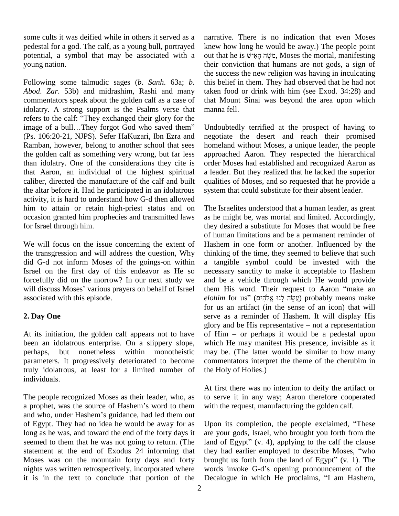some cults it was deified while in others it served as a pedestal for a god. The calf, as a young bull, portrayed potential, a symbol that may be associated with a young nation.

Following some talmudic sages (*b*. *Sanh*. 63a; *b*. *Abod*. *Zar*. 53b) and midrashim, Rashi and many commentators speak about the golden calf as a case of idolatry. A strong support is the Psalms verse that commentators speak about the golden calf as a case of that idolatry. A strong support is the Psalms verse that mann<br>refers to the calf: "They exchanged their glory for the idolatry. A strong support is the Psalms verse that manner refers to the calf: "They exchanged their glory for the image of a bull...They forgot God who saved them" Undo (Ps. 106:20-21, NJPS). Sefer HaKuzari, Ibn Ezra and Ramban, however, belong to another school that sees the golden calf as something very wrong, but far less than idolatry. One of the considerations they cite is that Aaron, an individual of the highest spiritual caliber, directed the manufacture of the calf and built the altar before it. Had he participated in an idolatrous activity, it is hard to understand how G-d then allowed him to attain or retain high-priest status and on occasion granted him prophecies and transmitted laws for Israel through him.

We will focus on the issue concerning the extent of the transgression and will address the question, Why did G-d not inform Moses of the goings-on within Israel on the first day of this endeavor as He so forcefully did on the morrow? In our next study we will discuss Moses' various prayers on behalf of Israel associated with this episode.

### **2. Day One**

At its initiation, the golden calf appears not to have of  $\text{Him}$  – or perhaps it would be a pedestal upon been an idolatrous enterprise. On a slippery slope, perhaps, but nonetheless within monotheistic parameters. It progressively deteriorated to become truly idolatrous, at least for a limited number of individuals.

The people recognized Moses as their leader, who, as to s At first the<br>The people recognized Moses as their leader, who, as<br>a prophet, was the source of Hashem's word to them with the rec a prophet, was the source of Hashem's word to them<br>and who, under Hashem's guidance, had led them out of Egypt. They had no idea he would be away for as long as he was, and toward the end of the forty days it seemed to them that he was not going to return. (The statement at the end of Exodus 24 informing that Moses was on the mountain forty days and forty nights was written retrospectively, incorporated where words invoke G-d's opening pronouncement of the it is in the text to conclude that portion of the Decalogue in which He proclaims, "I am Hashem,

narrative. There is no indication that even Moses knew how long he would be away.) The people point out that he is מֹשֶׁה הָאִישׁ, Moses the mortal, manifesting their conviction that humans are not gods, a sign of the success the new religion was having in inculcating this belief in them. They had observed that he had not taken food or drink with him (see Exod.  $34:28$ ) and that Mount Sinai was beyond the area upon which manna fell.

Undoubtedly terrified at the prospect of having to negotiate the desert and reach their promised homeland without Moses, a unique leader, the people approached Aaron. They respected the hierarchical order Moses had established and recognized Aaron as a leader. But they realized that he lacked the superior qualities of Moses, and so requested that he provide a system that could substitute for their absent leader.

The Israelites understood that a human leader, as great as he might be, was mortal and limited. Accordingly, they desired a substitute for Moses that would be free of human limitations and be a permanent reminder of Hashem in one form or another. Influenced by the thinking of the time, they seemed to believe that such a tangible symbol could be invested with the necessary sanctity to make it acceptable to Hashem and be a vehicle through which He would provide necessary sanctity to make it acceptable to Hashem<br>and be a vehicle through which He would provide<br>them His word. Their request to Aaron "make an and be a vehicle through which He would provide<br>them His word. Their request to Aaron "make an<br>*elohim* for us" (עֲשֶׂה לְנוּ אֱלֹהִים) probably means make for us an artifact (in the sense of an icon) that will serve as a reminder of Hashem. It will display His glory and be His representative – not a representation serve as a reminder of Hashem. It will display His<br>glory and be His representative – not a representation<br>of Him – or perhaps it would be a pedestal upon which He may manifest His presence, invisible as it may be. (The latter would be similar to how many commentators interpret the theme of the cherubim in the Holy of Holies.) commentators interpret the theme of the cherubim in

At first there was no intention to deify the artifact or to serve it in any way; Aaron therefore cooperated with the request, manufacturing the golden calf.

Upon its completion, the people exclaimed, "These are your gods, Israel, who brought you forth from the Upon its completion, the people exclaimed, "These<br>are your gods, Israel, who brought you forth from the<br>land of Egypt" (v. 4), applying to the calf the clause are your gods, Israel, who brought you forth from the<br>land of Egypt" (v. 4), applying to the calf the clause<br>they had earlier employed to describe Moses, "who land of Egypt" (v. 4), applying to the calf the clause they had earlier employed to describe Moses, "who brought us forth from the land of Egypt"  $(v, 1)$ . The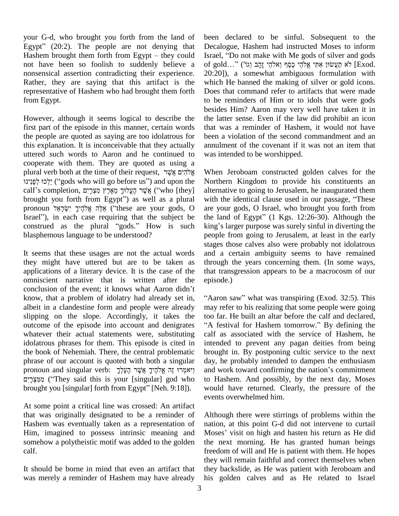your G-d, who brought you forth from the land of your G-d, who brought you forth from the land of be<br>Egypt" (20:2). The people are not denying that Do your G-d, who brought you forth from the land of been<br>Egypt" (20:2). The people are not denying that Decale<br>Hashem brought them forth from Egypt – they could Israel, not have been so foolish to suddenly believe a nonsensical assertion contradicting their experience. Rather, they are saying that this artifact is the representative of Hashem who had brought them forth from Egypt.

However, although it seems logical to describe the first part of the episode in this manner, certain words the people are quoted as saying are too idolatrous for this explanation. It is inconceivable that they actually uttered such words to Aaron and he continued to cooperate with them. They are quoted as using a plural verb both at the time of their request, אֱלֹהֵים אֱשֽׁׂ rrate with them. They are quoted as using a<br>אֱלֹהִים אֲשֶׂר, when אֱלֹהִים אֲשֶׁר<br>יִלְכוּ (''gods who will go before us'') and upon the North plural verb both at the time of their request, אֱלֹהִים אֱלֹהִים אֱלֹהִים אֲלֹהִים why אֱלֹהִים אֲלֹהִים אֲ<br>יִלְכוּ לִפְנֵינוּ (''gods who will go before us'') and upon the – No calf's completion, אֲשֶׁר הֶעֱלוּךָ מֵצְ יִלְכוּ לְפָנֵינוּ?) and upon the Negregods who will go before us") and upon the Negregi's completion, אֲשֶׁר הָעֱלוּךָ מֵאֶרֶץ מִצְרָיִם<br>| brought you forth from Egypt") as well as a plural wi calf's completion, אֲשֶׁר הֶעֱלוּךָ מֵאֶרֶץ מִצְרָיִם ("who [they] alternative<br>brought you forth from Egypt") as well as a plural with the idency with the independent your gods, O are your gods, O brought you forth from Egypt") as well as a plural with<br>pronoun אֱלֶה אֱלֹהֶיךָ יִשְׂרָאֵל ("these are your gods, O are y<br>Israel"), in each case requiring that the subject be the la pronoun אֲלֶה אֱלֹהֶיךָ יִשְׂרָאֵל ("these are your gods, O are your gods, O Israel, who brought you forth from Israel"), in each case requiring that the subject be the land of Egypt" (1 Kgs. 12:26-30). Although the const blasphemous language to be understood?

It seems that these usages are not the actual words they might have uttered but are to be taken as applications of a literary device. It is the case of the that is omniscient narrative that is written after the episoconclusion of the event; it knows what Aaron didn't omniscient narrative that is written after the know, that a problem of idolatry had already set in, albeit in a clandestine form and people were already slipping on the slope. Accordingly, it takes the too far. He built an altar before the calf and declared, outcome of the episode into account and denigrates "A festival for Hashem tomorrow." By defining the whatever their actual statements were, substituting idolatrous phrases for them. This episode is cited in the book of Nehemiah. There, the central problematic phrase of our account is quoted with both a singular day the book of Nehemiah. There, the central problematic br<br>phrase of our account is quoted with both a singular da<br>pronoun and singular verb: יאמְרוּ זֶה אֱלֹהֶיךָ אֲשֶׁר הֶעֶּלְךָ of our account is quoted with both a singular<br>
וֹיאמְרוּ זָה אֱלֹהֶיךָ אֲשֶׁר הֶעֶלְךָ (ingular verb: יִיאמְרוּ זָה אֱלֹהֶיךָ אֲשֶׁר הֶעֶלְךָ<br>(ingular] god who to Ha") and this is your [singular] god who to Ha pronoun and singular verb: יַאמְרוּ זֶה אֱלֹהֶיךָ אֲשֶׁר הֶעֶלְךָ<br>יִמְאִצְרָיִם ('They said this is your [singular] god who throught you [singular] forth from Egypt'' [Neh. 9:18]).

At some point a critical line was crossed: An artifact that was originally designated to be a reminder of Hashem was eventually taken as a representation of Him, imagined to possess intrinsic meaning and Moses' visit on high and hasten his return as He did somehow a polytheistic motif was added to the golden calf.

It should be borne in mind that even an artifact that was merely a reminder of Hashem may have already been declared to be sinful. Subsequent to the Decalogue, Hashem had instructed Moses to inform Israel, "Do not make with Me gods of silver and gods Decalogue, Hashem had instructed Moses to inform<br>Israel, "Do not make with Me gods of silver and gods<br>of gold…'' (א תַעֲשׂוּן אֶתִּי אֱלֹהֶי כָּסֶף וַאלֹהֵי [Exod. 20:20]), a somewhat ambiguous formulation with which He banned the making of silver or gold icons. Does that command refer to artifacts that were made to be reminders of Him or to idols that were gods besides Him? Aaron may very well have taken it in the latter sense. Even if the law did prohibit an icon that was a reminder of Hashem, it would not have been a violation of the second commandment and an annulment of the covenant if it was not an item that was intended to be worshipped.

When Jeroboam constructed golden calves for the Northern Kingdom to provide his constituents an alternative to going to Jerusalem, he inaugurated them Northern Kingdom to provide his constituents an<br>alternative to going to Jerusalem, he inaugurated them<br>with the identical clause used in our passage, "These are your gods, O Israel, who brought you forth from with the identical clause used in our passage, "These<br>are your gods, O Israel, who brought you forth from<br>the land of Egypt" (1 Kgs. 12:26-30). Although the the land of Egypt"  $(1$  Kgs. 12:26-30). Although the people from going to Jerusalem, at least in the early stages those calves also were probably not idolatrous and a certain ambiguity seems to have remained through the years concerning them. (In some ways, that transgression appears to be a macrocosm of our episode.)

"Aaron saw" what was transpiring (Exod. 32:5). This may refer to his realizing that some people were going<br>too far. He built an altar before the calf and declared,<br>"A festival for Hashem tomorrow." By defining the calf as associated with the service of Hashem, he intended to prevent any pagan deities from being brought in. By postponing cultic service to the next day, he probably intended to dampen the enthusiasm brought in. By postponing cultic service to the next<br>day, he probably intended to dampen the enthusiasm<br>and work toward confirming the nation's commitment to Hashem. And possibly, by the next day, Moses would have returned. Clearly, the pressure of the events overwhelmed him.

Although there were stirrings of problems within the nation, at this point G-d did not intervene to curtail Although there were stirrings of problems within the<br>nation, at this point G-d did not intervene to curtail<br>Moses' visit on high and hasten his return as He did the next morning. He has granted human beings freedom of will and He is patient with them. He hopes they will remain faithful and correct themselves when they backslide, as He was patient with Jeroboam and his golden calves and as He related to Israel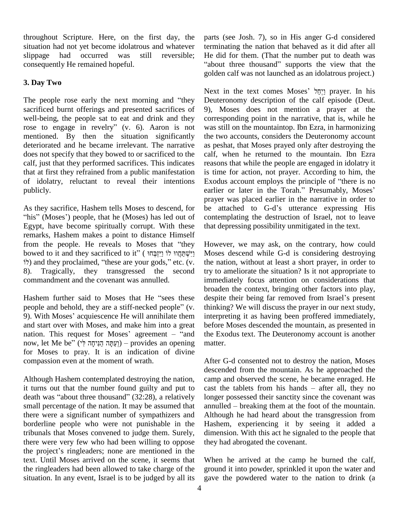throughout Scripture. Here, on the first day, the situation had not yet become idolatrous and whatever slippage had occurred was still reversible; consequently He remained hopeful.

#### **3. Day Two**

The people rose early the next morning and "they sacrificed burnt offerings and presented sacrifices of well-being, the people sat to eat and drink and they rose to engage in revelry" (v. 6). Aaron is not mentioned. By then the situation significantly deteriorated and he became irrelevant. The narrative does not specify that they bowed to or sacrificed to the calf, just that they performed sacrifices. This indicates that at first they refrained from a public manifestation of idolatry, reluctant to reveal their intentions Exodus account employs the principle of "there is no publicly.

As they sacrifice, Hashem tells Moses to descend, for be attached to G-d's utterance expressing His "his" (Moses') people, that he (Moses) has led out of Egypt, have become spiritually corrupt. With these remarks, Hashem makes a point to distance Himself Egypt, have become spiritually corrupt. With these that de<br>remarks, Hashem makes a point to distance Himself<br>from the people. He reveals to Moses that "they Howe" bowed to it and they sacrificed to iting the two distance Himself<br>bowed to it and they sacrificed to it<sup>\*</sup>' ( יִשְׁמְּחֲוֹוּ לוֹ וַיַּזְבְּחוּ לוֹ from the people. He reveals to Moses that "they H<br>bowed to it and they sacrificed to it" (יִיזְבְּחוּ לוֹ וַיִּזְבָּחוּ M<br>) and they proclaimed, "these are your gods," etc. (v. 8). Tragically, they transgressed the second commandment and the covenant was annulled.

Hashem further said to Moses that He "sees these despite their being far removed from Israel's present people and behold, they are a stiff-necked people" (v. 9). With Moses' acquiescence He will annihilate them and start over with Moses, and make him into a great nation. This request for Moses' agreement  $-$  "and now, let Me be" (יְעַתָּה הַנִּיחָה לְי) – provides an opening for Moses to pray. It is an indication of divine compassion even at the moment of wrath.

Although Hashem contemplated destroying the nation, camp<br>it turns out that the number found guilty and put to cast the<br>death was "about three thousand" (32:28), a relatively longer it turns out that the number found guilty and put to cast the tablets from his hands – after all, they no small percentage of the nation. It may be assumed that there were a significant number of sympathizers and borderline people who were not punishable in the tribunals that Moses convened to judge them. Surely, there were very few who had been willing to oppose they! tribunals that Moses convened to judge them. Surely, dime<br>there were very few who had been willing to oppose they!<br>the project's ringleaders; none are mentioned in the text. Until Moses arrived on the scene, it seems that the ringleaders had been allowed to take charge of the situation. In any event, Israel is to be judged by all its

parts (see Josh. 7), so in His anger G-d considered terminating the nation that behaved as it did after all He did for them. (That the number put to death was "about three thousand" supports the view that the golden calf was not launched as an idolatrous project.)

Next in the text comes Moses' יְיָחֲל prayer. In his Deuteronomy description of the calf episode (Deut. 9), Moses does not mention a prayer at the corresponding point in the narrative, that is, while he was still on the mountaintop. Ibn Ezra, in harmonizing the two accounts, considers the Deuteronomy account as peshat, that Moses prayed only after destroying the calf, when he returned to the mountain. Ibn Ezra reasons that while the people are engaged in idolatry it is time for action, not prayer. According to him, the reasons that while the people are engaged in idolatry it<br>is time for action, not prayer. According to him, the<br>Exodus account employs the principle of "there is no is time for action, not prayer. According to him, the Exodus account employs the principle of "there is no earlier or later in the Torah." Presumably, Moses' prayer was placed earlier in the narrative in order to earlier or later in the Torah." Presumably, Moses' contemplating the destruction of Israel, not to leave that depressing possibility unmitigated in the text.

However, we may ask, on the contrary, how could Moses descend while G-d is considering destroying the nation, without at least a short prayer, in order to try to ameliorate the situation? Is it not appropriate to immediately focus attention on considerations that<br>broaden the context, bringing other factors into play,<br>despite their being far removed from Israel's present broaden the context, bringing other factors into play, thinking? We will discuss the prayer in our next study, interpreting it as having been proffered immediately, before Moses descended the mountain, as presented in the Exodus text. The Deuteronomy account is another matter.

After G-d consented not to destroy the nation, Moses descended from the mountain. As he approached the camp and observed the scene, he became enraged. He cast the tablets from his hands – after all, they no camp and observed the scene, he became enraged. He longer possessed their sanctity since the covenant was annulled  $-$  breaking them at the foot of the mountain. Although he had heard about the transgression from Hashem, experiencing it by seeing it added a dimension. With this act he signaled to the people that they had abrogated the covenant.

When he arrived at the camp he burned the calf, ground it into powder, sprinkled it upon the water and gave the powdered water to the nation to drink (a